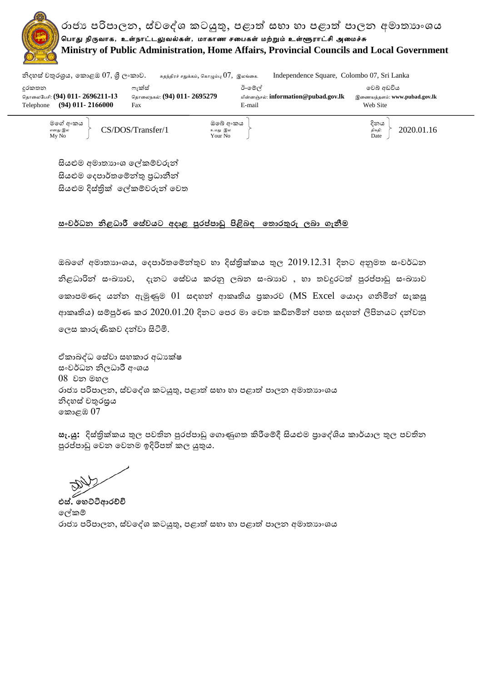

|                                                                     |                                    | சுதந்துரச் சதுக்கம், 'வகாழும்பு O 7 , 'இலங்கை.  | mue pendence square, colonito 07, sri Lanka |
|---------------------------------------------------------------------|------------------------------------|-------------------------------------------------|---------------------------------------------|
| දුරකතන                                                              | ෆැක්ස්                             | ඊ-මේල්                                          | වෙබ් අඩවිය                                  |
| தொலைபேசி: (94) 011- 2696211-13<br>$(94)$ 011 - 2166000<br>Telephone | தொலைநகல்: (94) 011- 2695279<br>Fax | மின்னஞ்சல்: information @pubad.gov.lk<br>E-mail | இணையத்தளம்: www.pubad.gov.lk<br>Web Site    |
| මගේ අංකය<br>எனது இல                                                 | CS/DOS/Transfer/1                  | ඔබේ අංකය<br>உமது இல                             | දිනය<br>2020.01.16<br>திகதி:                |

My No  $\qquad$  Date

සියළුම අමාතහාංශ ලේකම්වරුන් සියළුම දෙපාර්තමේන්තු පුධානීන් සියළුම දිස්තික් ලේකම්වරුන් වෙත

## <u>සංවර්ධන නිළධාරී සේවයට අදාළ පුරප්පාඩු පිළිබඳ තොරතුරු ලබා ගැනීම</u>

ඔබගේ අමාතාහංශය, දෙපාර්තමේන්තුව හා දිස්තික්කය තුල 2019.12.31 දිනට අනුමත සංවර්ධන නිළධාරින් සංඛායාව, දැනට සේවය කරනු ලබන සංඛායාව , හා තවදුරටත් පුරප්පාඩු සංඛායාව කොපමණද යන්න ඇමුණුම  $01$  සඳහන් ආකෘතිය පුකාරව ( $\overline{\rm MS}$  Excel යොදා ගනිමින් සැකසූ ආකෘතිය) සම්පූර්ණ කර 2020.01.20 දිනට පෙර මා වෙත කඩිනමින් පහත සදහන් ලිපිනයට දන්වන ලෙස කාරුණිකව දන්වා සිටිමි.

ඒකාබද්ධ සේවා සහකාර අධාහක්ෂ සංවර්ධන නිලධාරී අංශය 08 වන මහල රාජා පරිපාලන, ස්වදේශ කටයුතු, පළාත් සභා හා පළාත් පාලන අමාතාාංශය නිදහස් වතුරසුය කොළඹ  $07$ 

සැ.යු: දිස්තික්කය තුල පවතින පුරප්පාඩු ගොණුගත කිරීමේදී සියළුම පාලද්ශිය කාර්යාල තුල පවතින පුරප්පාඩු වෙන වෙනම ඉදිරිපත් කල යුතුය.

**එස්. සෙට්ටිආරච්චි**  දල්කේ රාජා පරිපාලන, ස්වදේශ කටයුතු, පළාත් සභා හා පළාත් පාලන අමාතාහංශය